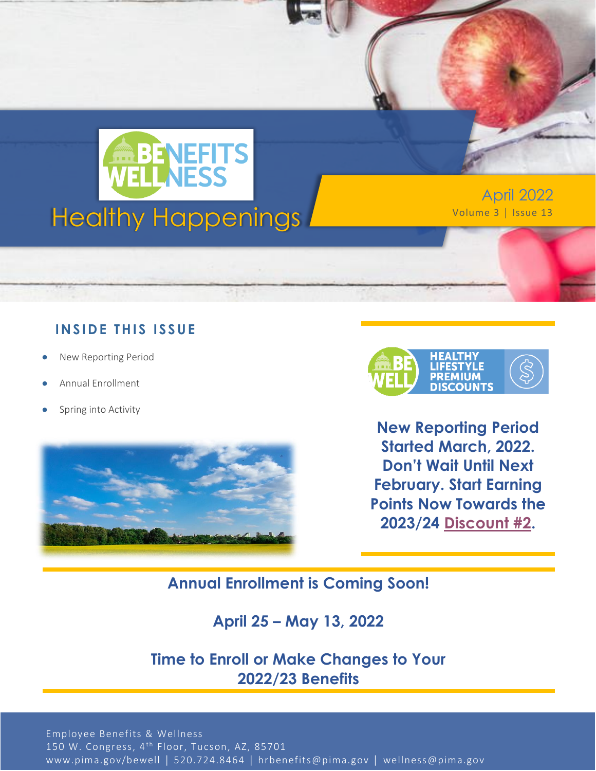

April 2022

#### **IN SID E TH IS ISS UE**

- New Reporting Period
- Annual Enrollment
- Spring into Activity





**New Reporting Period Started March, 2022. Don't Wait Until Next February. Start Earning Points Now Towards the 2023/24 [Discount #2.](https://webcms.pima.gov/cms/One.aspx?portalId=169&pageId=474239)**

## **Annual Enrollment is Coming Soon!**

### **April 25 – May 13, 2022**

### **Time to Enroll or Make Changes to Your 2022/23 Benefits**

Employee Benefits & Wellness 150 W. Congress, 4<sup>th</sup> Floor, Tucson, AZ, 85701 www.pima.gov/bewell │ 520.724.8464 │ hrbenefits@pima.gov │ wellness@pima.gov